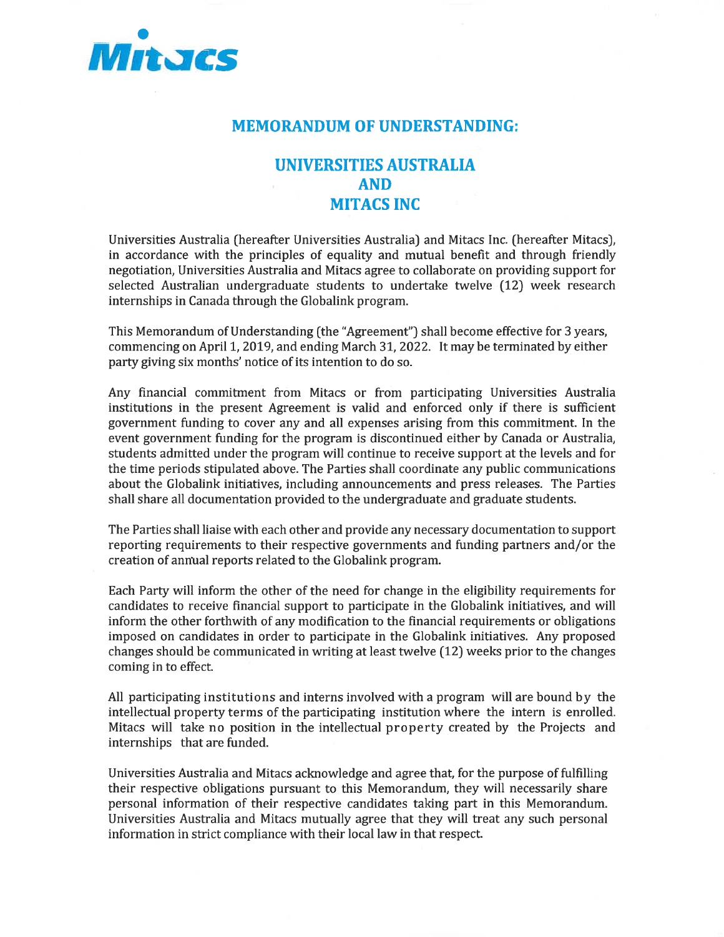

## MEMORANDUM OF UNDERSTANDING:

# UNIVERSITIES AUSTRALIA AND MITACS INC

Universities Australia (hereafter Universities Australia) and Mitacs Inc. [hereafter Mitacs), in accordance with the principles of equality and mutual benefit and through friendly negotiation. Universities Australia and Mitacs agree to collaborate on providing support for selected Australian undergraduate students to undertake twelve (12) week research internships in Canada through the Globalink program.

This Memorandum of Understanding (the "Agreement") shall become effective for 3 years, commencing on April 1, 2019, and ending March 31, 2022. It may be terminated by either party giving six months' notice of its intention to do so.

Any financial commitment from Mitacs or from participating Universities Australia institutions in the present Agreement is valid and enforced only if there is sufficient government funding to cover any and all expenses arising from this commitment. In the event government funding for the program is discontinued either by Canada or Australia, students admitted under the program will continue to receive support at the levels and for the time periods stipulated above. The Parties shall coordinate any public communications about the Globalink initiatives, including announcements and press releases. The Parties shall share all documentation provided to the undergraduate and graduate students.

The Parties shall liaise with each other and provide any necessary documentation to support reporting requirements to their respective governments and funding partners and/or the creation of anrmal reports related to the Globalink program.

Each Party will inform the other of the need for change in the eligibility requirements for candidates to receive financial support to participate in the Globalink initiatives, and will inform the other forthwith of any modification to the financial requirements or obligations imposed on candidates in order to participate in the Globalink initiatives. Any proposed changes should be communicated in writing at least twelve (12) weeks prior to the changes coming in to effect.

All participating institutions and interns involved with a program will are bound by the intellectual property terms of the participating institution where the intern is enrolled. Mitacs will take no position in the intellectual property created by the Projects and internships that are funded.

Universities Australia and Mitacs acknowledge and agree that, for the purpose of fulfilling their respective obligations pursuant to this Memorandum, they will necessarily share personal information of their respective candidates taking part in this Memorandum. Universities Australia and Mitacs mutually agree that they will treat any such personal information in strict compliance with their local law in that respect.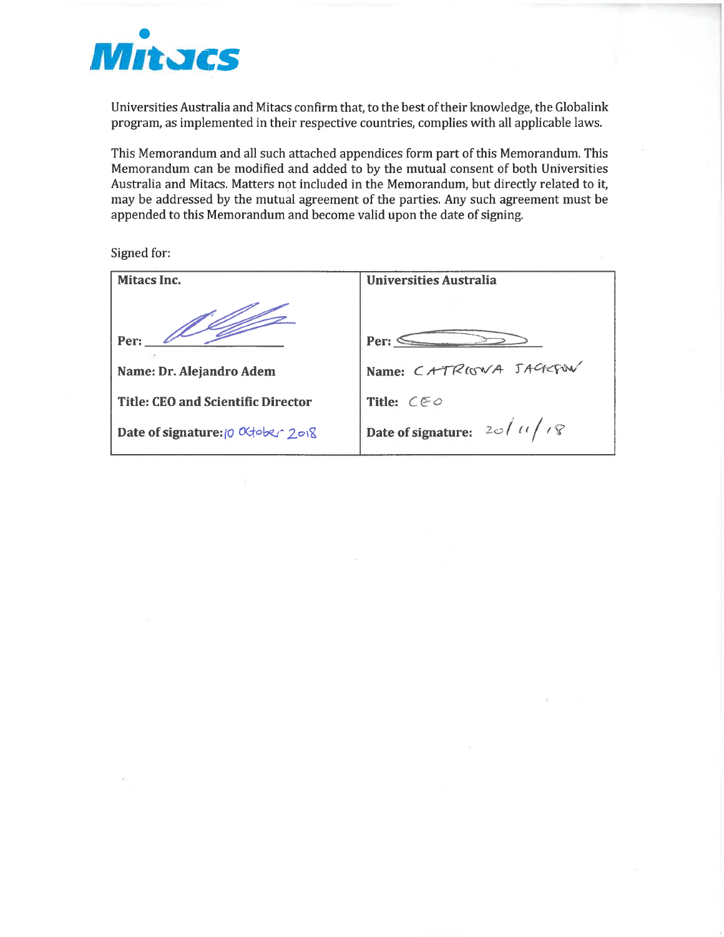

Universities Australia and Mitacs confirm that, to the best of their knowledge, the Globalink program, as implemented in their respective countries, complies with all applicable laws.

This Memorandum and all such attached appendices form part of this Memorandum. This Memorandum can be modified and added to by the mutual consent of both Universities Australia and Mitacs. Matters not included in the Memorandum, but directly related to it, may be addressed by the mutual agreement of the parties. Any such agreement must be appended to this Memorandum and become valid upon the date of signing.

Signed for:

| Mitacs Inc.                               | <b>Universities Australia</b>     |
|-------------------------------------------|-----------------------------------|
| Per:                                      | Per:                              |
| Name: Dr. Alejandro Adem                  | Name: CATRIGWA JAGEFOW            |
| <b>Title: CEO and Scientific Director</b> | Title: $CEO$                      |
| Date of signature: 10 October 2018        | Date of signature: $2d/d\sqrt{R}$ |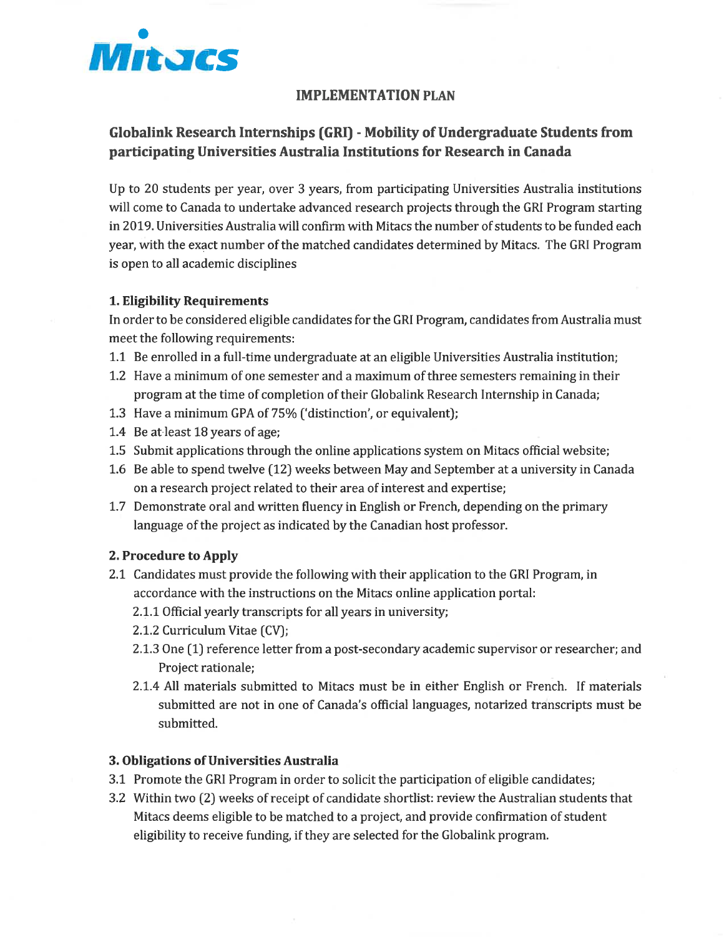

## IMPLEMENTATION PLAN

## Globalink Research Internships (GRI) - Mobility of Undergraduate Students from participating Universities Australia Institutions for Research in Canada

Up to 20 students per year, over 3 years, from participating Universities Australia institutions will come to Canada to undertake advanced research projects through the GRI Program starting in 2019. Universities Australia will confirm with Mitacs the number of students to be funded each year, with the exact number of the matched candidates determined by Mitacs. The GRI Program is open to all academic disciplines

#### 1. Eligibility Requirements

In order to be considered eligible candidates for the GRI Program, candidates from Australia must meet the following requirements:

- 1.1 Be enrolled in a full-time undergraduate at an eligible Universities Australia institution;
- 1.2 Have a minimum of one semester and a maximum of three semesters remaining in their program at the time of completion of their Globalink Research Internship in Canada;
- 1.3 Have a minimum GPA of 75% ['distinction', or equivalent);
- 1.4 Be at least 18 years of age;
- 1.5 Submit applications through the online applications system on Mitacs official website;
- 1.6 Be able to spend twelve (12) weeks between May and September at a university in Canada on a research project related to their area of interest and expertise;
- 1.7 Demonstrate oral and written fluency in English or French, depending on the primary language of the project as indicated by the Canadian host professor.

#### 2. Procedure to Apply

- 2.1 Candidates must provide the following with their application to the GRI Program, in accordance with the instructions on the Mitacs online application portal:
	- 2. 1.1 Official yearly transcripts for all years in university;
	- 2.1.2 Curriculum Vitae (CV);
	- 2.1.3 One (1) reference letter from a post-secondary academic supervisor or researcher; and Project rationale;
	- 2. 1.4 All materials submitted to Mitacs must be in either English or French. If materials submitted are not in one of Canada's official languages, notarized transcripts must be submitted.

#### 3. Obligations of Universities Australia

- 3. 1 Promote the GRI Program in order to solicit the participation of eligible candidates;
- 3. 2 Within two (2) weeks of receipt of candidate shortlist: review the Australian students that Mitacs deems eligible to be matched to a project, and provide confirmation of student eligibility to receive funding, if they are selected for the Globalink program.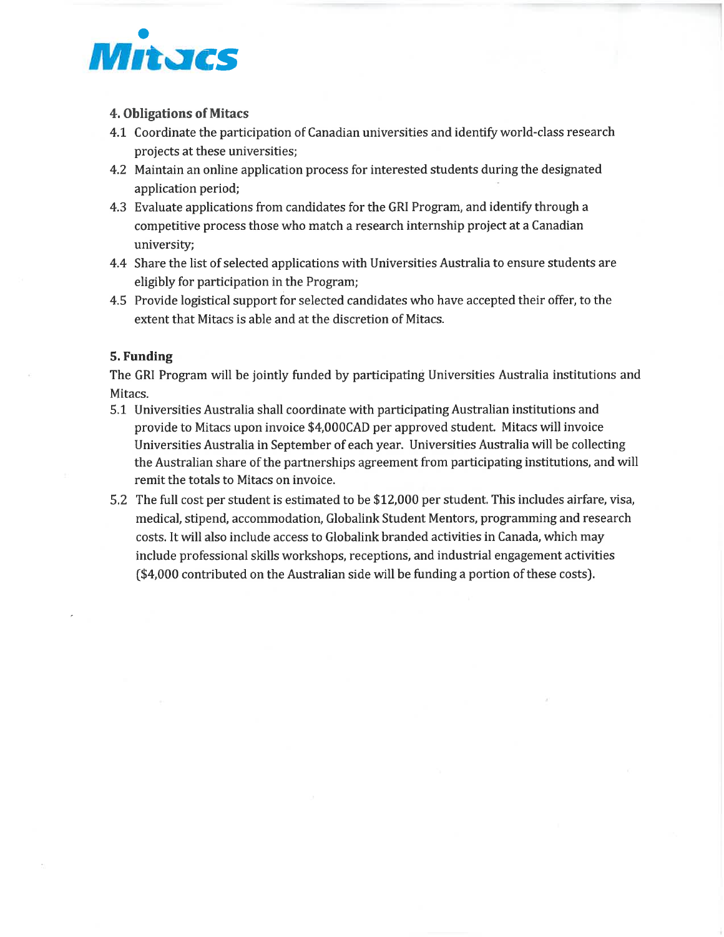

### 4. Obligations of Mitacs

- 4. 1 Coordinate the participation of Canadian universities and identify world-class research projects at these universities;
- 4.2 Maintain an online application process for interested students during the designated application period;
- 4. 3 Evaluate applications from candidates for the GRI Program, and identify through a competitive process those who match a research internship project at a Canadian university;
- 4.4 Share the list of selected applications with Universities Australia to ensure students are eligibly for participation in the Program;
- 4. 5 Provide logistical support for selected candidates who have accepted their offer, to the extent that Mitacs is able and at the discretion of Mitacs.

### 5. Funding

The GRI Program will be jointly funded by participating Universities Australia institutions and Mitacs.

- 5. 1 Universities Australia shall coordinate with participating Australian institutions and provide to Mitacs upon invoice \$4,OOOCAD per approved student. Mitacs will invoice Universities Australia in September of each year. Universities Australia will be collecting the Australian share of the partnerships agreement from participating institutions, and will remit the totals to Mitacs on invoice.
- 5. 2 The full cost per student is estimated to be \$12, 000 per student. This includes airfare, visa, medical, stipend, accommodation, Globalink Student Mentors, programming and research costs. It will also include access to Globalink branded activities in Canada, which may include professional skills workshops, receptions, and industrial engagement activities (\$4, 000 contributed on the Australian side will be funding a portion of these costs).